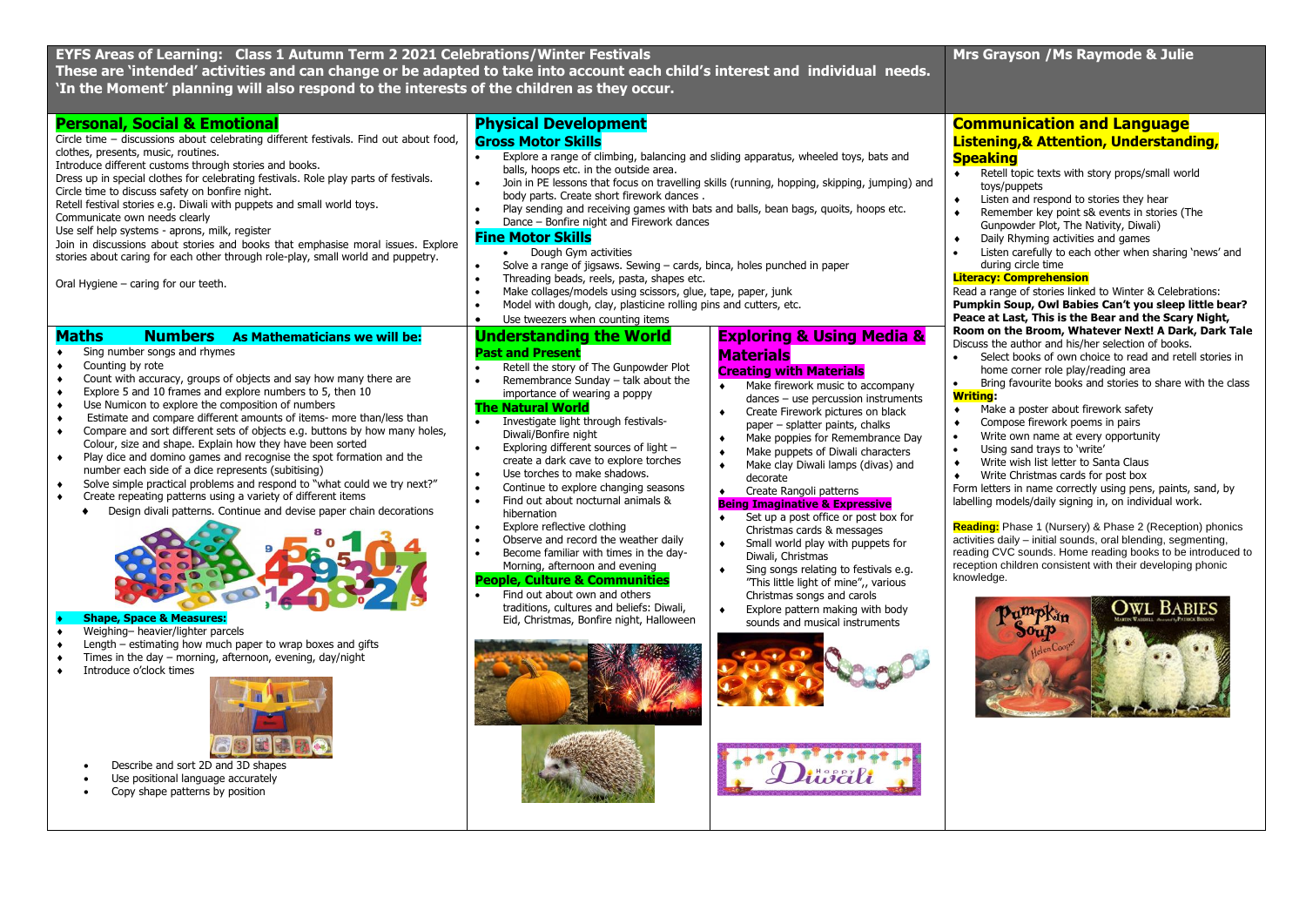| EYFS Areas of Learning: Class 1 Autumn Term 2 2021 Celebrations/Winter Festivals<br>'In the Moment' planning will also respond to the interests of the children as they occur.                                                                                                                                                                                                                                                                                                                                                                                                                                                                                                                                                                                                                                                                                                                                                                                                                                                                                                                                                                                                                                                                                                                                                                                  | These are 'intended' activities and can change or be adapted to take into account each child's interest and individual needs.                                                                                                                                                                                                                                                                                                                                                                                                                                                                                                                                                                                                                                                                                                                                                                                                                                                                                                                                                                                                                                                                                                                                                                                                                                                                                                                                                                                                                                                                                                                                                                                                                                                                                                                         | Mrs Grayson / Ms Raymode & Julie                                                                                                                                                                                                                                                                                                                                                                                                                                                                                                                                                                                                                                                                                                                                                                                                                                                                                                                                                                                                                                                                                                                                                                                                                                                                                                                                                                                                                                                                                                                                                                                                                                                    |
|-----------------------------------------------------------------------------------------------------------------------------------------------------------------------------------------------------------------------------------------------------------------------------------------------------------------------------------------------------------------------------------------------------------------------------------------------------------------------------------------------------------------------------------------------------------------------------------------------------------------------------------------------------------------------------------------------------------------------------------------------------------------------------------------------------------------------------------------------------------------------------------------------------------------------------------------------------------------------------------------------------------------------------------------------------------------------------------------------------------------------------------------------------------------------------------------------------------------------------------------------------------------------------------------------------------------------------------------------------------------|-------------------------------------------------------------------------------------------------------------------------------------------------------------------------------------------------------------------------------------------------------------------------------------------------------------------------------------------------------------------------------------------------------------------------------------------------------------------------------------------------------------------------------------------------------------------------------------------------------------------------------------------------------------------------------------------------------------------------------------------------------------------------------------------------------------------------------------------------------------------------------------------------------------------------------------------------------------------------------------------------------------------------------------------------------------------------------------------------------------------------------------------------------------------------------------------------------------------------------------------------------------------------------------------------------------------------------------------------------------------------------------------------------------------------------------------------------------------------------------------------------------------------------------------------------------------------------------------------------------------------------------------------------------------------------------------------------------------------------------------------------------------------------------------------------------------------------------------------------|-------------------------------------------------------------------------------------------------------------------------------------------------------------------------------------------------------------------------------------------------------------------------------------------------------------------------------------------------------------------------------------------------------------------------------------------------------------------------------------------------------------------------------------------------------------------------------------------------------------------------------------------------------------------------------------------------------------------------------------------------------------------------------------------------------------------------------------------------------------------------------------------------------------------------------------------------------------------------------------------------------------------------------------------------------------------------------------------------------------------------------------------------------------------------------------------------------------------------------------------------------------------------------------------------------------------------------------------------------------------------------------------------------------------------------------------------------------------------------------------------------------------------------------------------------------------------------------------------------------------------------------------------------------------------------------|
| <b>Personal, Social &amp; Emotional</b><br>Circle time - discussions about celebrating different festivals. Find out about food,<br>clothes, presents, music, routines.<br>Introduce different customs through stories and books.<br>Dress up in special clothes for celebrating festivals. Role play parts of festivals.<br>Circle time to discuss safety on bonfire night.<br>Retell festival stories e.g. Diwali with puppets and small world toys.<br>Communicate own needs clearly<br>Use self help systems - aprons, milk, register<br>Join in discussions about stories and books that emphasise moral issues. Explore<br>stories about caring for each other through role-play, small world and puppetry.<br>Oral Hygiene - caring for our teeth.                                                                                                                                                                                                                                                                                                                                                                                                                                                                                                                                                                                                       | <b>Physical Development</b><br><b>Gross Motor Skills</b><br>Explore a range of climbing, balancing and sliding apparatus, wheeled toys, bats and<br>$\bullet$<br>balls, hoops etc. in the outside area.<br>Join in PE lessons that focus on travelling skills (running, hopping, skipping, jumping) and<br>$\bullet$<br>body parts. Create short firework dances.<br>Play sending and receiving games with bats and balls, bean bags, quoits, hoops etc.<br>$\bullet$<br>$\bullet$<br>Dance - Bonfire night and Firework dances<br><b>Fine Motor Skills</b><br>Dough Gym activities<br>$\bullet$<br>Solve a range of jigsaws. Sewing - cards, binca, holes punched in paper<br>$\bullet$<br>$\bullet$<br>Threading beads, reels, pasta, shapes etc.<br>$\bullet$<br>Make collages/models using scissors, glue, tape, paper, junk<br>Model with dough, clay, plasticine rolling pins and cutters, etc.<br>$\bullet$<br>$\bullet$<br>Use tweezers when counting items                                                                                                                                                                                                                                                                                                                                                                                                                                                                                                                                                                                                                                                                                                                                                                                                                                                                                   | <b>Communication and Language</b><br>Listening, & Attention, Understanding,<br><b>Speaking</b><br>Retell topic texts with story props/small world<br>$\bullet$<br>toys/puppets<br>Listen and respond to stories they hear<br>۰<br>Remember key point s& events in stories (The<br>$\bullet$<br>Gunpowder Plot, The Nativity, Diwali)<br>Daily Rhyming activities and games<br>Listen carefully to each other when sharing 'news' and<br>during circle time<br><b>Literacy: Comprehension</b><br>Read a range of stories linked to Winter & Celebrations:<br>Pumpkin Soup, Owl Babies Can't you sleep little bear?<br>Peace at Last, This is the Bear and the Scary Night,<br>Room on the Broom, Whatever Next! A Dark, Dark Tale<br>Discuss the author and his/her selection of books.<br>Select books of own choice to read and retell stories in<br>home corner role play/reading area<br>Bring favourite books and stories to share with the class<br><b>Writing:</b><br>Make a poster about firework safety<br>۰<br>Compose firework poems in pairs<br>۰<br>Write own name at every opportunity<br>Using sand trays to 'write'<br>$\bullet$<br>Write wish list letter to Santa Claus<br>$\blacklozenge$<br>$\bullet$<br>Write Christmas cards for post box<br>Form letters in name correctly using pens, paints, sand, by<br>labelling models/daily signing in, on individual work.<br>Reading: Phase 1 (Nursery) & Phase 2 (Reception) phonics<br>activities daily - initial sounds, oral blending, segmenting,<br>reading CVC sounds. Home reading books to be introduced to<br>reception children consistent with their developing phonic<br>knowledge.<br><b>OWL BABIES</b> |
| <b>Maths</b><br><b>Numbers</b> As Mathematicians we will be:<br>Sing number songs and rhymes<br>$\blacklozenge$<br>Counting by rote<br>Count with accuracy, groups of objects and say how many there are<br>۰<br>Explore 5 and 10 frames and explore numbers to 5, then 10<br>$\bullet$<br>Use Numicon to explore the composition of numbers<br>$\bullet$<br>Estimate and compare different amounts of items- more than/less than<br>$\bullet$<br>Compare and sort different sets of objects e.g. buttons by how many holes,<br>$\bullet$<br>Colour, size and shape. Explain how they have been sorted<br>Play dice and domino games and recognise the spot formation and the<br>$\bullet$<br>number each side of a dice represents (subitising)<br>Solve simple practical problems and respond to "what could we try next?"<br>$\bullet$<br>Create repeating patterns using a variety of different items<br>$\bullet$<br>Design divali patterns. Continue and devise paper chain decorations<br>$\bullet$<br><b>Shape, Space &amp; Measures:</b><br>Weighing-heavier/lighter parcels<br>Length – estimating how much paper to wrap boxes and gifts<br>Times in the day - morning, afternoon, evening, day/night<br>٠<br>Introduce o'clock times<br>Describe and sort 2D and 3D shapes<br>Use positional language accurately<br>Copy shape patterns by position | <b>Understanding the World</b><br><b>Exploring &amp; Using Media &amp;</b><br><b>Past and Present</b><br><b>Materials</b><br>Retell the story of The Gunpowder Plot<br>$\bullet$<br><b>Creating with Materials</b><br>Remembrance Sunday - talk about the<br>$\bullet$<br>Make firework music to accompany<br>$\bullet$<br>importance of wearing a poppy<br>dances - use percussion instruments<br><b>The Natural World</b><br>Create Firework pictures on black<br>$\bullet$<br>Investigate light through festivals-<br>$\bullet$<br>paper - splatter paints, chalks<br>Diwali/Bonfire night<br>Make poppies for Remembrance Day<br>$\bullet$<br>Exploring different sources of light -<br>$\bullet$<br>Make puppets of Diwali characters<br>$\bullet$<br>create a dark cave to explore torches<br>Make clay Diwali lamps (divas) and<br>$\bullet$<br>Use torches to make shadows.<br>$\bullet$<br>decorate<br>Continue to explore changing seasons<br>$\bullet$<br>Create Rangoli patterns<br>Find out about nocturnal animals &<br>$\bullet$<br><b>Being Imaginative &amp; Expressive</b><br>hibernation<br>Set up a post office or post box for<br>$\bullet$<br>Explore reflective clothing<br>$\bullet$<br>Christmas cards & messages<br>Observe and record the weather daily<br>$\bullet$<br>Small world play with puppets for<br>$\bullet$<br>Become familiar with times in the day-<br>$\bullet$<br>Diwali, Christmas<br>Morning, afternoon and evening<br>Sing songs relating to festivals e.g.<br>$\bullet$<br><b>People, Culture &amp; Communities</b><br>"This little light of mine",, various<br>Find out about own and others<br>Christmas songs and carols<br>traditions, cultures and beliefs: Diwali,<br>Explore pattern making with body<br>$\bullet$<br>Eid, Christmas, Bonfire night, Halloween<br>sounds and musical instruments |                                                                                                                                                                                                                                                                                                                                                                                                                                                                                                                                                                                                                                                                                                                                                                                                                                                                                                                                                                                                                                                                                                                                                                                                                                                                                                                                                                                                                                                                                                                                                                                                                                                                                     |